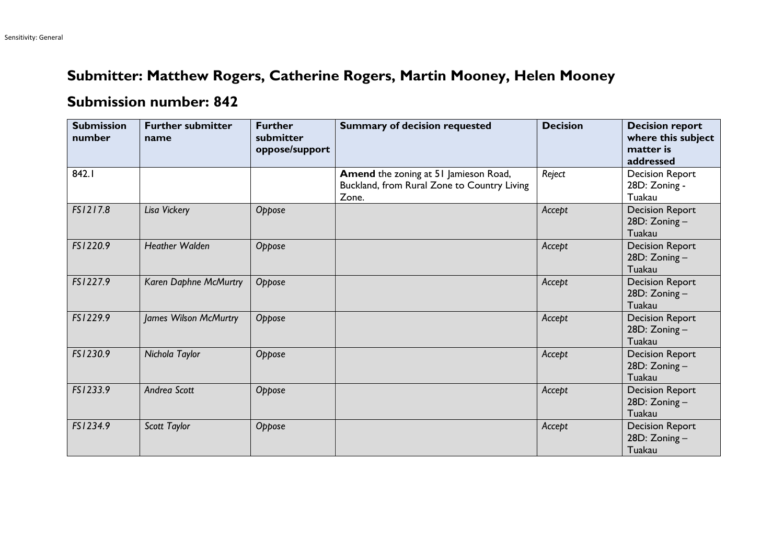## **Submitter: Matthew Rogers, Catherine Rogers, Martin Mooney, Helen Mooney**

## **Submission number: 842**

| <b>Submission</b><br>number | <b>Further submitter</b><br>name | <b>Further</b><br>submitter<br>oppose/support | <b>Summary of decision requested</b>                                                          | <b>Decision</b> | <b>Decision report</b><br>where this subject<br>matter is<br>addressed |
|-----------------------------|----------------------------------|-----------------------------------------------|-----------------------------------------------------------------------------------------------|-----------------|------------------------------------------------------------------------|
| 842.1                       |                                  |                                               | Amend the zoning at 51 Jamieson Road,<br>Buckland, from Rural Zone to Country Living<br>Zone. | Reject          | <b>Decision Report</b><br>28D: Zoning -<br>Tuakau                      |
| FS1217.8                    | Lisa Vickery                     | Oppose                                        |                                                                                               | Accept          | <b>Decision Report</b><br>28D: Zoning-<br>Tuakau                       |
| FS1220.9                    | <b>Heather Walden</b>            | Oppose                                        |                                                                                               | Accept          | <b>Decision Report</b><br>28D: Zoning-<br>Tuakau                       |
| FS1227.9                    | Karen Daphne McMurtry            | Oppose                                        |                                                                                               | Accept          | <b>Decision Report</b><br>28D: Zoning-<br>Tuakau                       |
| FS1229.9                    | James Wilson McMurtry            | Oppose                                        |                                                                                               | Accept          | <b>Decision Report</b><br>28D: Zoning-<br>Tuakau                       |
| FS1230.9                    | Nichola Taylor                   | Oppose                                        |                                                                                               | Accept          | <b>Decision Report</b><br>28D: Zoning-<br>Tuakau                       |
| FS1233.9                    | Andrea Scott                     | Oppose                                        |                                                                                               | Accept          | <b>Decision Report</b><br>28D: Zoning-<br>Tuakau                       |
| FS1234.9                    | Scott Taylor                     | Oppose                                        |                                                                                               | Accept          | <b>Decision Report</b><br>28D: Zoning-<br>Tuakau                       |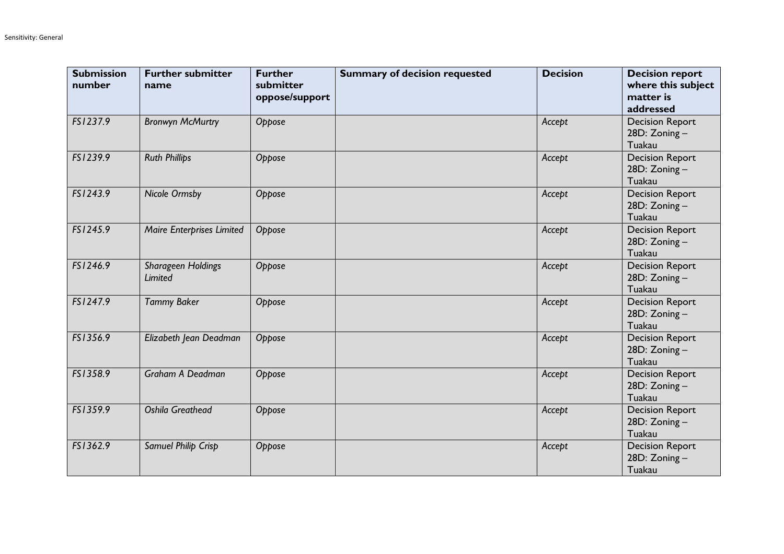| <b>Submission</b><br>number | <b>Further submitter</b><br>name | <b>Further</b><br>submitter<br>oppose/support | <b>Summary of decision requested</b> | <b>Decision</b> | <b>Decision report</b><br>where this subject<br>matter is<br>addressed |
|-----------------------------|----------------------------------|-----------------------------------------------|--------------------------------------|-----------------|------------------------------------------------------------------------|
| FS1237.9                    | <b>Bronwyn McMurtry</b>          | Oppose                                        |                                      | Accept          | <b>Decision Report</b><br>28D: Zoning-<br>Tuakau                       |
| FS1239.9                    | <b>Ruth Phillips</b>             | Oppose                                        |                                      | Accept          | <b>Decision Report</b><br>28D: Zoning-<br>Tuakau                       |
| FS1243.9                    | <b>Nicole Ormsby</b>             | Oppose                                        |                                      | Accept          | <b>Decision Report</b><br>28D: Zoning-<br>Tuakau                       |
| FS1245.9                    | <b>Maire Enterprises Limited</b> | Oppose                                        |                                      | Accept          | <b>Decision Report</b><br>28D: Zoning-<br>Tuakau                       |
| FS1246.9                    | Sharageen Holdings<br>Limited    | Oppose                                        |                                      | Accept          | <b>Decision Report</b><br>28D: Zoning-<br>Tuakau                       |
| FS1247.9                    | <b>Tammy Baker</b>               | Oppose                                        |                                      | Accept          | <b>Decision Report</b><br>28D: Zoning-<br>Tuakau                       |
| FS1356.9                    | Elizabeth Jean Deadman           | Oppose                                        |                                      | Accept          | <b>Decision Report</b><br>28D: Zoning-<br>Tuakau                       |
| FS1358.9                    | <b>Graham A Deadman</b>          | Oppose                                        |                                      | Accept          | <b>Decision Report</b><br>28D: Zoning-<br>Tuakau                       |
| FS1359.9                    | <b>Oshila Greathead</b>          | Oppose                                        |                                      | Accept          | <b>Decision Report</b><br>28D: Zoning-<br>Tuakau                       |
| FS1362.9                    | Samuel Philip Crisp              | Oppose                                        |                                      | Accept          | <b>Decision Report</b><br>28D: Zoning-<br>Tuakau                       |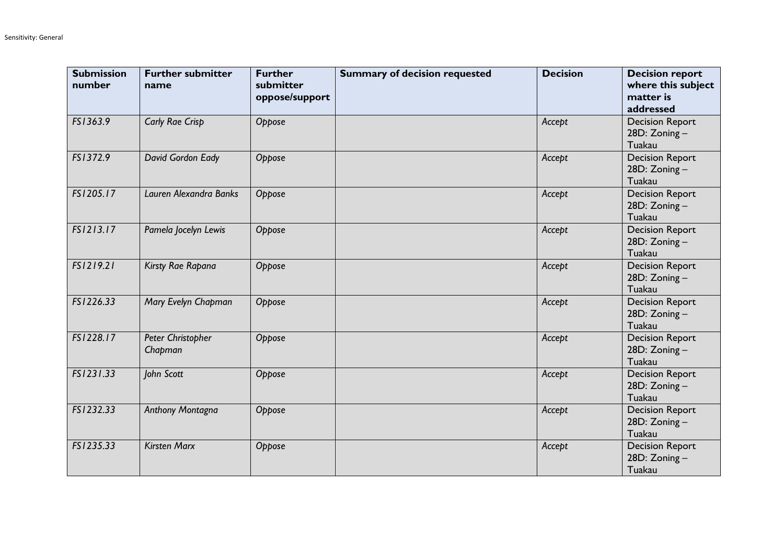| <b>Submission</b><br>number | <b>Further submitter</b><br>name | <b>Further</b><br>submitter<br>oppose/support | <b>Summary of decision requested</b> | <b>Decision</b> | <b>Decision report</b><br>where this subject<br>matter is<br>addressed |
|-----------------------------|----------------------------------|-----------------------------------------------|--------------------------------------|-----------------|------------------------------------------------------------------------|
| FS1363.9                    | Carly Rae Crisp                  | Oppose                                        |                                      | Accept          | <b>Decision Report</b><br>28D: Zoning-<br>Tuakau                       |
| FS1372.9                    | David Gordon Eady                | Oppose                                        |                                      | Accept          | <b>Decision Report</b><br>28D: Zoning-<br>Tuakau                       |
| FS1205.17                   | Lauren Alexandra Banks           | Oppose                                        |                                      | Accept          | <b>Decision Report</b><br>28D: Zoning-<br>Tuakau                       |
| FS1213.17                   | Pamela Jocelyn Lewis             | Oppose                                        |                                      | Accept          | <b>Decision Report</b><br>28D: Zoning-<br>Tuakau                       |
| FS1219.21                   | Kirsty Rae Rapana                | Oppose                                        |                                      | Accept          | <b>Decision Report</b><br>28D: Zoning-<br>Tuakau                       |
| FS1226.33                   | Mary Evelyn Chapman              | Oppose                                        |                                      | Accept          | <b>Decision Report</b><br>28D: Zoning-<br>Tuakau                       |
| FS1228.17                   | Peter Christopher<br>Chapman     | Oppose                                        |                                      | Accept          | <b>Decision Report</b><br>28D: Zoning-<br>Tuakau                       |
| FS1231.33                   | John Scott                       | Oppose                                        |                                      | Accept          | <b>Decision Report</b><br>28D: Zoning-<br>Tuakau                       |
| FS1232.33                   | Anthony Montagna                 | Oppose                                        |                                      | Accept          | <b>Decision Report</b><br>28D: Zoning-<br>Tuakau                       |
| FS1235.33                   | <b>Kirsten Marx</b>              | Oppose                                        |                                      | Accept          | <b>Decision Report</b><br>28D: Zoning-<br>Tuakau                       |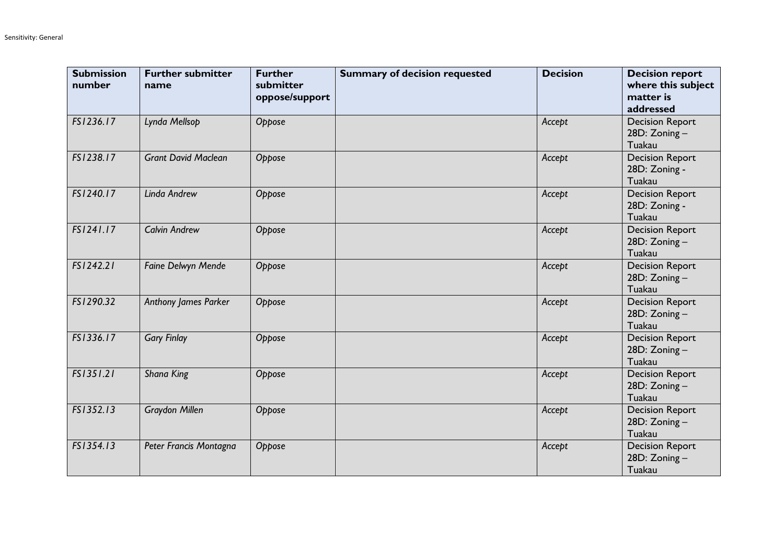| <b>Submission</b><br>number | <b>Further submitter</b><br>name | <b>Further</b><br>submitter<br>oppose/support | <b>Summary of decision requested</b> | <b>Decision</b> | <b>Decision report</b><br>where this subject<br>matter is<br>addressed |
|-----------------------------|----------------------------------|-----------------------------------------------|--------------------------------------|-----------------|------------------------------------------------------------------------|
| FS1236.17                   | Lynda Mellsop                    | Oppose                                        |                                      | Accept          | <b>Decision Report</b><br>28D: Zoning-<br>Tuakau                       |
| FS1238.17                   | <b>Grant David Maclean</b>       | Oppose                                        |                                      | Accept          | <b>Decision Report</b><br>28D: Zoning -<br>Tuakau                      |
| FS1240.17                   | Linda Andrew                     | Oppose                                        |                                      | Accept          | <b>Decision Report</b><br>28D: Zoning -<br>Tuakau                      |
| FS1241.17                   | <b>Calvin Andrew</b>             | Oppose                                        |                                      | Accept          | <b>Decision Report</b><br>28D: Zoning-<br>Tuakau                       |
| FS1242.21                   | Faine Delwyn Mende               | Oppose                                        |                                      | Accept          | <b>Decision Report</b><br>28D: Zoning-<br>Tuakau                       |
| FS1290.32                   | Anthony James Parker             | Oppose                                        |                                      | Accept          | <b>Decision Report</b><br>28D: Zoning-<br>Tuakau                       |
| FS1336.17                   | <b>Gary Finlay</b>               | Oppose                                        |                                      | Accept          | <b>Decision Report</b><br>28D: Zoning-<br>Tuakau                       |
| FSI35I.2I                   | Shana King                       | Oppose                                        |                                      | Accept          | <b>Decision Report</b><br>28D: Zoning-<br>Tuakau                       |
| FS1352.13                   | <b>Graydon Millen</b>            | Oppose                                        |                                      | Accept          | <b>Decision Report</b><br>28D: Zoning-<br>Tuakau                       |
| FS1354.13                   | Peter Francis Montagna           | Oppose                                        |                                      | Accept          | <b>Decision Report</b><br>28D: Zoning-<br>Tuakau                       |